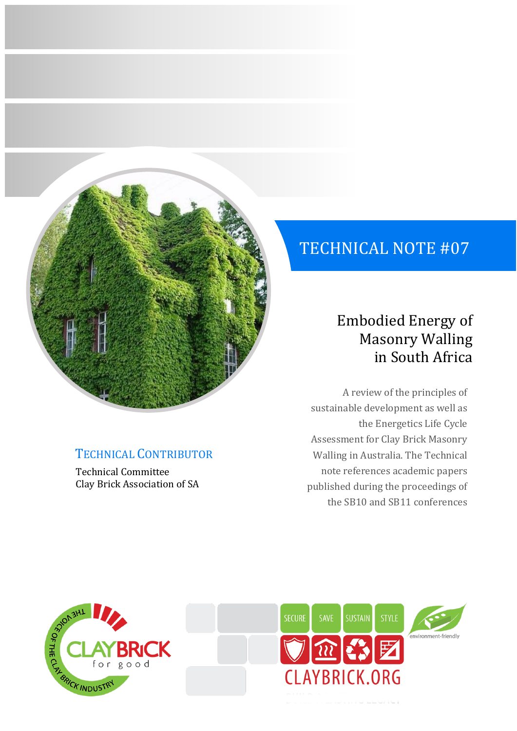

## TECHNICAL CONTRIBUTOR

Technical Committee Clay Brick Association of SA

# TECHNICAL NOTE #07

# Embodied Energy of Masonry Walling in South Africa

A review of the principles of sustainable development as well as the Energetics Life Cycle Assessment for Clay Brick Masonry Walling in Australia. The Technical note references academic papers published during the proceedings of the SB10 and SB11 conferences



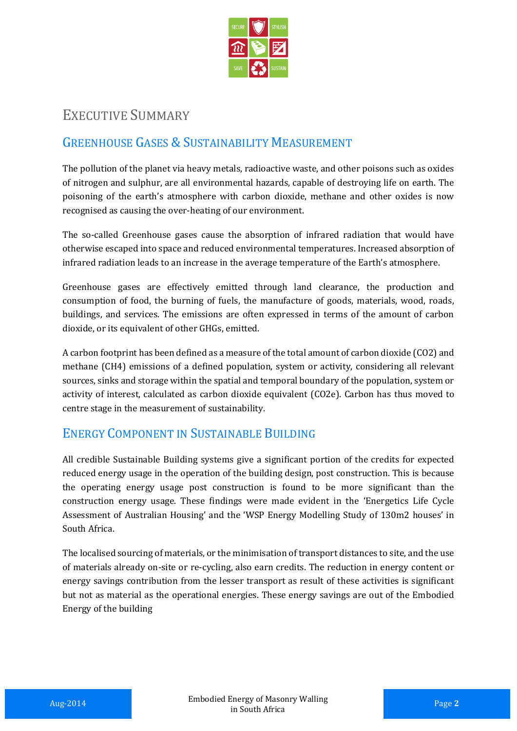

## EXECUTIVE SUMMARY

## GREENHOUSE GASES & SUSTAINABILITY MEASUREMENT

The pollution of the planet via heavy metals, radioactive waste, and other poisons such as oxides of nitrogen and sulphur, are all environmental hazards, capable of destroying life on earth. The poisoning of the earth's atmosphere with carbon dioxide, methane and other oxides is now recognised as causing the over-heating of our environment.

The so-called Greenhouse gases cause the absorption of infrared radiation that would have otherwise escaped into space and reduced environmental temperatures. Increased absorption of infrared radiation leads to an increase in the average temperature of the Earth's atmosphere.

Greenhouse gases are effectively emitted through land clearance, the production and consumption of food, the burning of fuels, the manufacture of goods, materials, wood, roads, buildings, and services. The emissions are often expressed in terms of the amount of carbon dioxide, or its equivalent of other GHGs, emitted.

A carbon footprint has been defined as a measure of the total amount of carbon dioxide (CO2) and methane (CH4) emissions of a defined population, system or activity, considering all relevant sources, sinks and storage within the spatial and temporal boundary of the population, system or activity of interest, calculated as carbon dioxide equivalent (CO2e). Carbon has thus moved to centre stage in the measurement of sustainability.

## ENERGY COMPONENT IN SUSTAINABLE BUILDING

All credible Sustainable Building systems give a significant portion of the credits for expected reduced energy usage in the operation of the building design, post construction. This is because the operating energy usage post construction is found to be more significant than the construction energy usage. These findings were made evident in the 'Energetics Life Cycle Assessment of Australian Housing' and the 'WSP Energy Modelling Study of 130m2 houses' in South Africa.

The localised sourcing of materials, or the minimisation of transport distances to site, and the use of materials already on-site or re-cycling, also earn credits. The reduction in energy content or energy savings contribution from the lesser transport as result of these activities is significant but not as material as the operational energies. These energy savings are out of the Embodied Energy of the building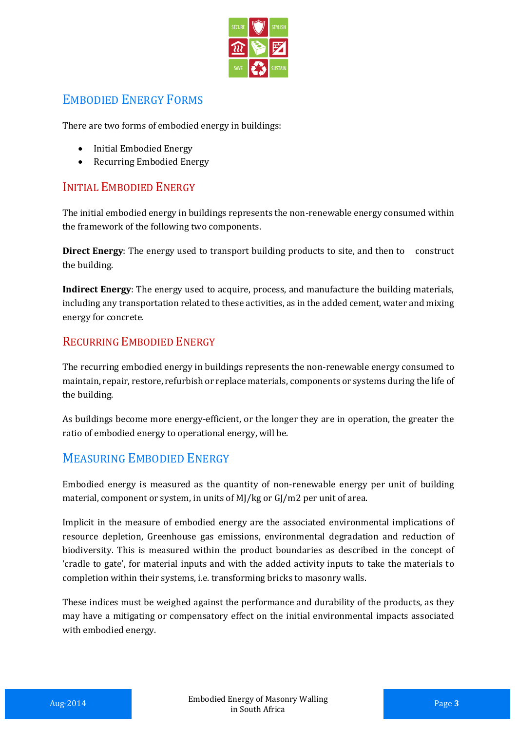

## EMBODIED ENERGY FORMS

There are two forms of embodied energy in buildings:

- Initial Embodied Energy
- Recurring Embodied Energy

### INITIAL EMBODIED ENERGY

The initial embodied energy in buildings represents the non-renewable energy consumed within the framework of the following two components.

**Direct Energy**: The energy used to transport building products to site, and then to construct the building.

**Indirect Energy**: The energy used to acquire, process, and manufacture the building materials, including any transportation related to these activities, as in the added cement, water and mixing energy for concrete.

### RECURRING EMBODIED ENERGY

The recurring embodied energy in buildings represents the non-renewable energy consumed to maintain, repair, restore, refurbish or replace materials, components or systems during the life of the building.

As buildings become more energy-efficient, or the longer they are in operation, the greater the ratio of embodied energy to operational energy, will be.

### MEASURING EMBODIED ENERGY

Embodied energy is measured as the quantity of non-renewable energy per unit of building material, component or system, in units of MJ/kg or GJ/m2 per unit of area.

Implicit in the measure of embodied energy are the associated environmental implications of resource depletion, Greenhouse gas emissions, environmental degradation and reduction of biodiversity. This is measured within the product boundaries as described in the concept of 'cradle to gate', for material inputs and with the added activity inputs to take the materials to completion within their systems, i.e. transforming bricks to masonry walls.

These indices must be weighed against the performance and durability of the products, as they may have a mitigating or compensatory effect on the initial environmental impacts associated with embodied energy.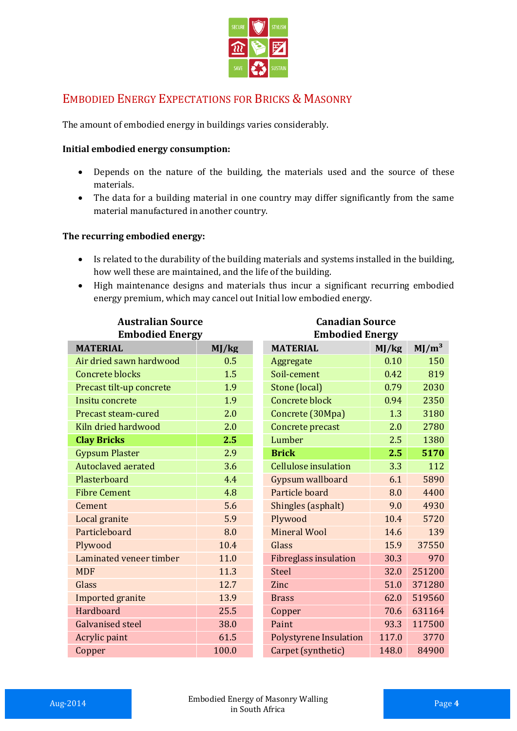

## EMBODIED ENERGY EXPECTATIONS FOR BRICKS & MASONRY

The amount of embodied energy in buildings varies considerably.

#### **Initial embodied energy consumption:**

- Depends on the nature of the building, the materials used and the source of these materials.
- The data for a building material in one country may differ significantly from the same material manufactured in another country.

#### **The recurring embodied energy:**

- Is related to the durability of the building materials and systems installed in the building, how well these are maintained, and the life of the building.
- High maintenance designs and materials thus incur a significant recurring embodied energy premium, which may cancel out Initial low embodied energy.

| <b>Australian Source</b>  |       | <b>Canadian Source</b>        |       |                   |
|---------------------------|-------|-------------------------------|-------|-------------------|
| <b>Embodied Energy</b>    |       | <b>Embodied Energy</b>        |       |                   |
| <b>MATERIAL</b>           | MJ/kg | <b>MATERIAL</b>               | MJ/kg | MJ/m <sup>3</sup> |
| Air dried sawn hardwood   | 0.5   | Aggregate                     | 0.10  | 150               |
| <b>Concrete blocks</b>    | 1.5   | Soil-cement                   | 0.42  | 819               |
| Precast tilt-up concrete  | 1.9   | Stone (local)                 | 0.79  | 2030              |
| Insitu concrete           | 1.9   | <b>Concrete block</b>         | 0.94  | 2350              |
| Precast steam-cured       | 2.0   | Concrete (30Mpa)              | 1.3   | 3180              |
| Kiln dried hardwood       | 2.0   | Concrete precast              | 2.0   | 2780              |
| <b>Clay Bricks</b>        | 2.5   | Lumber                        | 2.5   | 1380              |
| <b>Gypsum Plaster</b>     | 2.9   | <b>Brick</b>                  | 2.5   | 5170              |
| <b>Autoclaved aerated</b> | 3.6   | <b>Cellulose insulation</b>   | 3.3   | 112               |
| Plasterboard              | 4.4   | Gypsum wallboard              | 6.1   | 5890              |
| <b>Fibre Cement</b>       | 4.8   | Particle board                | 8.0   | 4400              |
| Cement                    | 5.6   | Shingles (asphalt)            | 9.0   | 4930              |
| Local granite             | 5.9   | Plywood                       | 10.4  | 5720              |
| Particleboard             | 8.0   | <b>Mineral Wool</b>           | 14.6  | 139               |
| Plywood                   | 10.4  | Glass                         | 15.9  | 37550             |
| Laminated veneer timber   | 11.0  | <b>Fibreglass insulation</b>  | 30.3  | 970               |
| <b>MDF</b>                | 11.3  | <b>Steel</b>                  | 32.0  | 251200            |
| Glass                     | 12.7  | Zinc                          | 51.0  | 371280            |
| Imported granite          | 13.9  | <b>Brass</b>                  | 62.0  | 519560            |
| Hardboard                 | 25.5  | Copper                        | 70.6  | 631164            |
| <b>Galvanised steel</b>   | 38.0  | Paint                         | 93.3  | 117500            |
| Acrylic paint             | 61.5  | <b>Polystyrene Insulation</b> | 117.0 | 3770              |
| Copper                    | 100.0 | Carpet (synthetic)            | 148.0 | 84900             |
|                           |       |                               |       |                   |